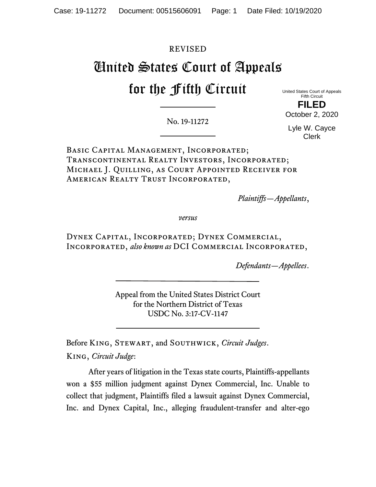# REVISED United States Court of Appeals for the Fifth Circuit

United States Court of Appeals Fifth Circuit **FILED** October 2, 2020

No. 19-11272

Lyle W. Cayce Clerk

Basic Capital Management, Incorporated; Transcontinental Realty Investors, Incorporated; Michael J. Quilling, as Court Appointed Receiver for American Realty Trust Incorporated,

*Plaintiffs—Appellants*,

*versus*

Dynex Capital, Incorporated; Dynex Commercial, Incorporated, *also known as* DCI Commercial Incorporated,

*Defendants—Appellees*.

Appeal from the United States District Court for the Northern District of Texas USDC No. 3:17-CV-1147

Before King, Stewart, and Southwick, *Circuit Judges*. King, *Circuit Judge*:

After years of litigation in the Texas state courts, Plaintiffs-appellants won a \$55 million judgment against Dynex Commercial, Inc. Unable to collect that judgment, Plaintiffs filed a lawsuit against Dynex Commercial, Inc. and Dynex Capital, Inc., alleging fraudulent-transfer and alter-ego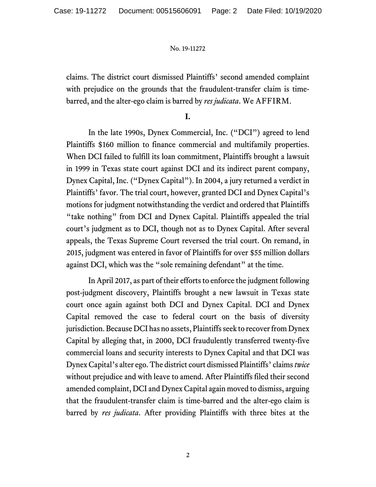claims. The district court dismissed Plaintiffs' second amended complaint with prejudice on the grounds that the fraudulent-transfer claim is timebarred, and the alter-ego claim is barred by *res judicata*. We AFFIRM.

# **I.**

In the late 1990s, Dynex Commercial, Inc. ("DCI") agreed to lend Plaintiffs \$160 million to finance commercial and multifamily properties. When DCI failed to fulfill its loan commitment, Plaintiffs brought a lawsuit in 1999 in Texas state court against DCI and its indirect parent company, Dynex Capital, Inc. ("Dynex Capital"). In 2004, a jury returned a verdict in Plaintiffs' favor. The trial court, however, granted DCI and Dynex Capital's motions for judgment notwithstanding the verdict and ordered that Plaintiffs "take nothing" from DCI and Dynex Capital. Plaintiffs appealed the trial court's judgment as to DCI, though not as to Dynex Capital. After several appeals, the Texas Supreme Court reversed the trial court. On remand, in 2015, judgment was entered in favor of Plaintiffs for over \$55 million dollars against DCI, which was the "sole remaining defendant" at the time.

In April 2017, as part of their efforts to enforce the judgment following post-judgment discovery, Plaintiffs brought a new lawsuit in Texas state court once again against both DCI and Dynex Capital. DCI and Dynex Capital removed the case to federal court on the basis of diversity jurisdiction. Because DCI has no assets, Plaintiffs seek to recover from Dynex Capital by alleging that, in 2000, DCI fraudulently transferred twenty-five commercial loans and security interests to Dynex Capital and that DCI was Dynex Capital's alter ego. The district court dismissed Plaintiffs' claims *twice* without prejudice and with leave to amend. After Plaintiffs filed their second amended complaint, DCI and Dynex Capital again moved to dismiss, arguing that the fraudulent-transfer claim is time-barred and the alter-ego claim is barred by *res judicata*. After providing Plaintiffs with three bites at the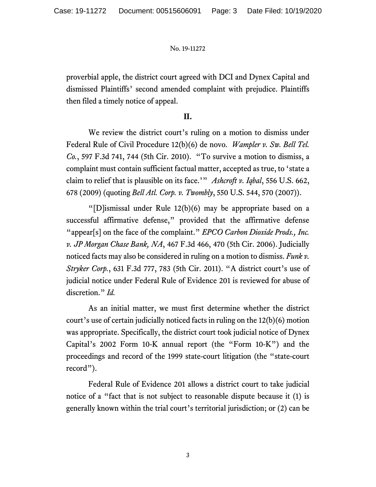proverbial apple, the district court agreed with DCI and Dynex Capital and dismissed Plaintiffs' second amended complaint with prejudice. Plaintiffs then filed a timely notice of appeal.

# **II.**

We review the district court's ruling on a motion to dismiss under Federal Rule of Civil Procedure 12(b)(6) de novo. *Wampler v. Sw. Bell Tel. Co.*, 597 F.3d 741, 744 (5th Cir. 2010). "To survive a motion to dismiss, a complaint must contain sufficient factual matter, accepted as true, to 'state a claim to relief that is plausible on its face.'" *Ashcroft v. Iqbal*, 556 U.S. 662, 678 (2009) (quoting *Bell Atl. Corp. v. Twombly*, 550 U.S. 544, 570 (2007)).

"[D]ismissal under Rule 12(b)(6) may be appropriate based on a successful affirmative defense," provided that the affirmative defense "appear[s] on the face of the complaint." *EPCO Carbon Dioxide Prods., Inc. v. JP Morgan Chase Bank, NA*, 467 F.3d 466, 470 (5th Cir. 2006). Judicially noticed facts may also be considered in ruling on a motion to dismiss. *Funk v. Stryker Corp.*, 631 F.3d 777, 783 (5th Cir. 2011). "A district court's use of judicial notice under Federal Rule of Evidence 201 is reviewed for abuse of discretion." *Id.*

As an initial matter, we must first determine whether the district court's use of certain judicially noticed facts in ruling on the 12(b)(6) motion was appropriate. Specifically, the district court took judicial notice of Dynex Capital's 2002 Form 10-K annual report (the "Form 10-K") and the proceedings and record of the 1999 state-court litigation (the "state-court record").

Federal Rule of Evidence 201 allows a district court to take judicial notice of a "fact that is not subject to reasonable dispute because it (1) is generally known within the trial court's territorial jurisdiction; or (2) can be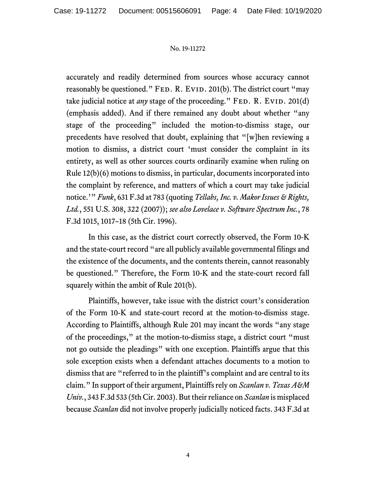accurately and readily determined from sources whose accuracy cannot reasonably be questioned." FED. R. EVID. 201(b). The district court "may take judicial notice at *any* stage of the proceeding." FED. R. EVID. 201(d) (emphasis added). And if there remained any doubt about whether "any stage of the proceeding" included the motion-to-dismiss stage, our precedents have resolved that doubt, explaining that "[w]hen reviewing a motion to dismiss, a district court 'must consider the complaint in its entirety, as well as other sources courts ordinarily examine when ruling on Rule 12(b)(6) motions to dismiss, in particular, documents incorporated into the complaint by reference, and matters of which a court may take judicial notice.'" *Funk*, 631 F.3d at 783 (quoting *Tellabs, Inc. v. Makor Issues & Rights, Ltd.*, 551 U.S. 308, 322 (2007)); *see also Lovelace v. Software Spectrum Inc.*, 78 F.3d 1015, 1017–18 (5th Cir. 1996).

In this case, as the district court correctly observed, the Form 10-K and the state-court record "are all publicly available governmental filings and the existence of the documents, and the contents therein, cannot reasonably be questioned." Therefore, the Form 10-K and the state-court record fall squarely within the ambit of Rule 201(b).

Plaintiffs, however, take issue with the district court's consideration of the Form 10-K and state-court record at the motion-to-dismiss stage. According to Plaintiffs, although Rule 201 may incant the words "any stage of the proceedings," at the motion-to-dismiss stage, a district court "must not go outside the pleadings" with one exception. Plaintiffs argue that this sole exception exists when a defendant attaches documents to a motion to dismiss that are "referred to in the plaintiff's complaint and are central to its claim." In support of their argument, Plaintiffs rely on *Scanlan v. Texas A&M Univ.*, 343 F.3d 533 (5th Cir. 2003). But their reliance on *Scanlan* is misplaced because *Scanlan* did not involve properly judicially noticed facts. 343 F.3d at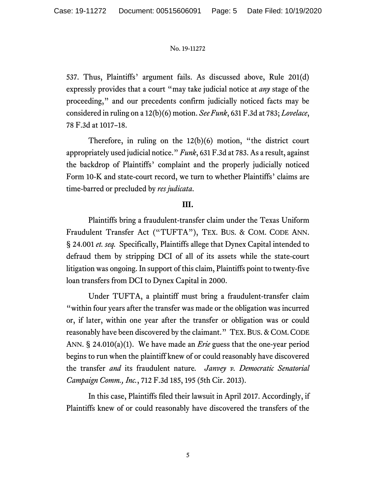537. Thus, Plaintiffs' argument fails. As discussed above, Rule 201(d) expressly provides that a court "may take judicial notice at *any* stage of the proceeding," and our precedents confirm judicially noticed facts may be considered in ruling on a 12(b)(6) motion. *See Funk*, 631 F.3d at 783; *Lovelace*, 78 F.3d at 1017–18.

Therefore, in ruling on the 12(b)(6) motion, "the district court appropriately used judicial notice." *Funk*, 631 F.3d at 783. As a result, against the backdrop of Plaintiffs' complaint and the properly judicially noticed Form 10-K and state-court record, we turn to whether Plaintiffs' claims are time-barred or precluded by *res judicata*.

# **III.**

Plaintiffs bring a fraudulent-transfer claim under the Texas Uniform Fraudulent Transfer Act ("TUFTA"), TEX. BUS. & COM. CODE ANN. § 24.001 *et. seq.* Specifically, Plaintiffs allege that Dynex Capital intended to defraud them by stripping DCI of all of its assets while the state-court litigation was ongoing. In support of this claim, Plaintiffs point to twenty-five loan transfers from DCI to Dynex Capital in 2000.

Under TUFTA, a plaintiff must bring a fraudulent-transfer claim "within four years after the transfer was made or the obligation was incurred or, if later, within one year after the transfer or obligation was or could reasonably have been discovered by the claimant." TEX. BUS. & COM.CODE ANN. § 24.010(a)(1). We have made an *Erie* guess that the one-year period begins to run when the plaintiff knew of or could reasonably have discovered the transfer *and* its fraudulent nature*. Janvey v. Democratic Senatorial Campaign Comm., Inc.*, 712 F.3d 185, 195 (5th Cir. 2013).

In this case, Plaintiffs filed their lawsuit in April 2017. Accordingly, if Plaintiffs knew of or could reasonably have discovered the transfers of the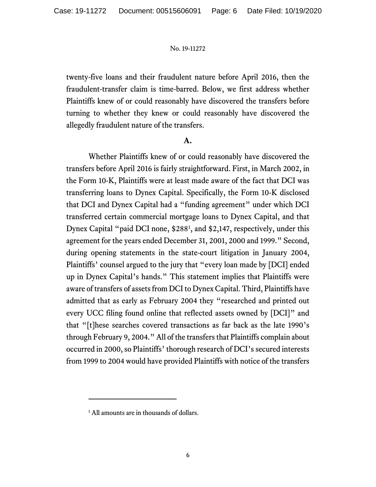twenty-five loans and their fraudulent nature before April 2016, then the fraudulent-transfer claim is time-barred. Below, we first address whether Plaintiffs knew of or could reasonably have discovered the transfers before turning to whether they knew or could reasonably have discovered the allegedly fraudulent nature of the transfers.

## **A.**

Whether Plaintiffs knew of or could reasonably have discovered the transfers before April 2016 is fairly straightforward. First, in March 2002, in the Form 10-K, Plaintiffs were at least made aware of the fact that DCI was transferring loans to Dynex Capital. Specifically, the Form 10-K disclosed that DCI and Dynex Capital had a "funding agreement" under which DCI transferred certain commercial mortgage loans to Dynex Capital, and that Dynex Capital "paid DCI none, \$288[1](#page-5-0) , and \$2,147, respectively, under this agreement for the years ended December 31, 2001, 2000 and 1999." Second, during opening statements in the state-court litigation in January 2004, Plaintiffs' counsel argued to the jury that "every loan made by [DCI] ended up in Dynex Capital's hands." This statement implies that Plaintiffs were aware of transfers of assets from DCI to Dynex Capital. Third, Plaintiffs have admitted that as early as February 2004 they "researched and printed out every UCC filing found online that reflected assets owned by [DCI]" and that "[t]hese searches covered transactions as far back as the late 1990's through February 9, 2004." All of the transfers that Plaintiffs complain about occurred in 2000, so Plaintiffs' thorough research of DCI's secured interests from 1999 to 2004 would have provided Plaintiffs with notice of the transfers

<span id="page-5-0"></span><sup>&</sup>lt;sup>1</sup> All amounts are in thousands of dollars.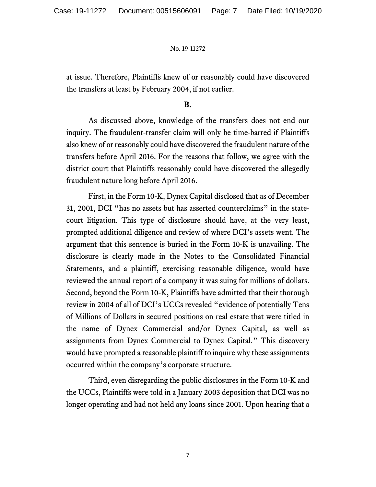at issue. Therefore, Plaintiffs knew of or reasonably could have discovered the transfers at least by February 2004, if not earlier.

## **B.**

As discussed above, knowledge of the transfers does not end our inquiry. The fraudulent-transfer claim will only be time-barred if Plaintiffs also knew of or reasonably could have discovered the fraudulent nature of the transfers before April 2016. For the reasons that follow, we agree with the district court that Plaintiffs reasonably could have discovered the allegedly fraudulent nature long before April 2016.

First, in the Form 10-K, Dynex Capital disclosed that as of December 31, 2001, DCI "has no assets but has asserted counterclaims" in the statecourt litigation. This type of disclosure should have, at the very least, prompted additional diligence and review of where DCI's assets went. The argument that this sentence is buried in the Form 10-K is unavailing. The disclosure is clearly made in the Notes to the Consolidated Financial Statements, and a plaintiff, exercising reasonable diligence, would have reviewed the annual report of a company it was suing for millions of dollars. Second, beyond the Form 10-K, Plaintiffs have admitted that their thorough review in 2004 of all of DCI's UCCs revealed "evidence of potentially Tens of Millions of Dollars in secured positions on real estate that were titled in the name of Dynex Commercial and/or Dynex Capital, as well as assignments from Dynex Commercial to Dynex Capital." This discovery would have prompted a reasonable plaintiff to inquire why these assignments occurred within the company's corporate structure.

Third, even disregarding the public disclosures in the Form 10-K and the UCCs, Plaintiffs were told in a January 2003 deposition that DCI was no longer operating and had not held any loans since 2001. Upon hearing that a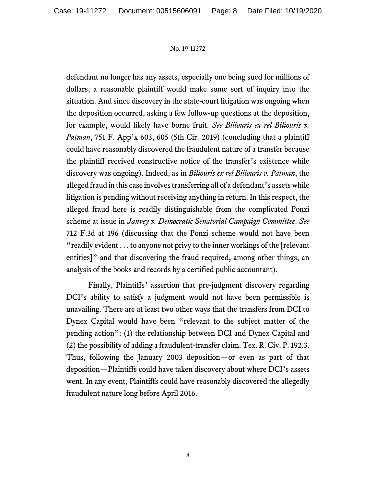defendant no longer has any assets, especially one being sued for millions of dollars, a reasonable plaintiff would make some sort of inquiry into the situation. And since discovery in the state-court litigation was ongoing when the deposition occurred, asking a few follow-up questions at the deposition, for example, would likely have borne fruit. *See Biliouris ex rel Biliouris v. Patman*, 751 F. App'x 603, 605 (5th Cir. 2019) (concluding that a plaintiff could have reasonably discovered the fraudulent nature of a transfer because the plaintiff received constructive notice of the transfer's existence while discovery was ongoing). Indeed, as in *Biliouris ex rel Biliouris v. Patman*, the alleged fraud in this case involves transferring all of a defendant's assets while litigation is pending without receiving anything in return. In this respect, the alleged fraud here is readily distinguishable from the complicated Ponzi scheme at issue in *Janvey v. Democratic Senatorial Campaign Committee*. *See*  712 F.3d at 196 (discussing that the Ponzi scheme would not have been "readily evident . . . to anyone not privy to the inner workings of the [relevant entities]" and that discovering the fraud required, among other things, an analysis of the books and records by a certified public accountant).

Finally, Plaintiffs' assertion that pre-judgment discovery regarding DCI's ability to satisfy a judgment would not have been permissible is unavailing. There are at least two other ways that the transfers from DCI to Dynex Capital would have been "relevant to the subject matter of the pending action": (1) the relationship between DCI and Dynex Capital and (2) the possibility of adding a fraudulent-transfer claim. Tex. R. Civ. P. 192.3. Thus, following the January 2003 deposition—or even as part of that deposition—Plaintiffs could have taken discovery about where DCI's assets went. In any event, Plaintiffs could have reasonably discovered the allegedly fraudulent nature long before April 2016.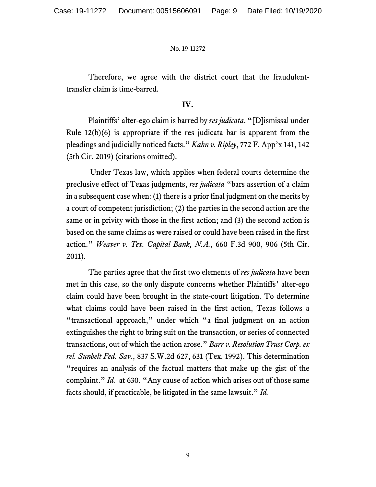Therefore, we agree with the district court that the fraudulenttransfer claim is time-barred.

# **IV.**

Plaintiffs' alter-ego claim is barred by *res judicata*. "[D]ismissal under Rule 12(b)(6) is appropriate if the res judicata bar is apparent from the pleadings and judicially noticed facts." *Kahn v. Ripley*, 772 F. App'x 141, 142 (5th Cir. 2019) (citations omitted).

Under Texas law, which applies when federal courts determine the preclusive effect of Texas judgments, *res judicata* "bars assertion of a claim in a subsequent case when: (1) there is a prior final judgment on the merits by a court of competent jurisdiction; (2) the parties in the second action are the same or in privity with those in the first action; and (3) the second action is based on the same claims as were raised or could have been raised in the first action." *Weaver v. Tex. Capital Bank, N.A.*, 660 F.3d 900, 906 (5th Cir. 2011).

The parties agree that the first two elements of *res judicata* have been met in this case, so the only dispute concerns whether Plaintiffs' alter-ego claim could have been brought in the state-court litigation. To determine what claims could have been raised in the first action, Texas follows a "transactional approach," under which "a final judgment on an action extinguishes the right to bring suit on the transaction, or series of connected transactions, out of which the action arose." *Barr v. Resolution Trust Corp. ex rel. Sunbelt Fed. Sav.*, 837 S.W.2d 627, 631 (Tex. 1992). This determination "requires an analysis of the factual matters that make up the gist of the complaint." *Id.* at 630. "Any cause of action which arises out of those same facts should, if practicable, be litigated in the same lawsuit." *Id.*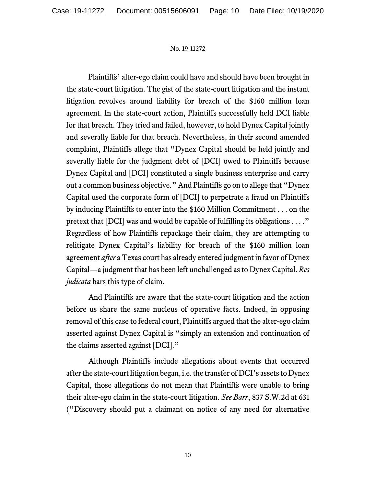Plaintiffs' alter-ego claim could have and should have been brought in the state-court litigation. The gist of the state-court litigation and the instant litigation revolves around liability for breach of the \$160 million loan agreement. In the state-court action, Plaintiffs successfully held DCI liable for that breach. They tried and failed, however, to hold Dynex Capital jointly and severally liable for that breach. Nevertheless, in their second amended complaint, Plaintiffs allege that "Dynex Capital should be held jointly and severally liable for the judgment debt of [DCI] owed to Plaintiffs because Dynex Capital and [DCI] constituted a single business enterprise and carry out a common business objective." And Plaintiffs go on to allege that "Dynex Capital used the corporate form of [DCI] to perpetrate a fraud on Plaintiffs by inducing Plaintiffs to enter into the \$160 Million Commitment . . . on the pretext that [DCI] was and would be capable of fulfilling its obligations  $\dots$ ." Regardless of how Plaintiffs repackage their claim, they are attempting to relitigate Dynex Capital's liability for breach of the \$160 million loan agreement *after* a Texas court has already entered judgment in favor of Dynex Capital—a judgment that has been left unchallenged as to Dynex Capital. *Res judicata* bars this type of claim.

And Plaintiffs are aware that the state-court litigation and the action before us share the same nucleus of operative facts. Indeed, in opposing removal of this case to federal court, Plaintiffs argued that the alter-ego claim asserted against Dynex Capital is "simply an extension and continuation of the claims asserted against [DCI]."

Although Plaintiffs include allegations about events that occurred after the state-court litigation began, i.e. the transfer of DCI's assets to Dynex Capital, those allegations do not mean that Plaintiffs were unable to bring their alter-ego claim in the state-court litigation. *See Barr*, 837 S.W.2d at 631 ("Discovery should put a claimant on notice of any need for alternative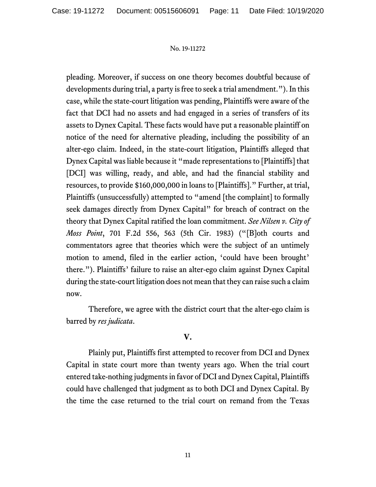pleading. Moreover, if success on one theory becomes doubtful because of developments during trial, a party is free to seek a trial amendment."). In this case, while the state-court litigation was pending, Plaintiffs were aware of the fact that DCI had no assets and had engaged in a series of transfers of its assets to Dynex Capital. These facts would have put a reasonable plaintiff on notice of the need for alternative pleading, including the possibility of an alter-ego claim. Indeed, in the state-court litigation, Plaintiffs alleged that Dynex Capital was liable because it "made representations to [Plaintiffs] that [DCI] was willing, ready, and able, and had the financial stability and resources, to provide \$160,000,000 in loans to [Plaintiffs]." Further, at trial, Plaintiffs (unsuccessfully) attempted to "amend [the complaint] to formally seek damages directly from Dynex Capital" for breach of contract on the theory that Dynex Capital ratified the loan commitment. *See Nilsen v. City of Moss Point*, 701 F.2d 556, 563 (5th Cir. 1983) ("[B]oth courts and commentators agree that theories which were the subject of an untimely motion to amend, filed in the earlier action, 'could have been brought' there."). Plaintiffs' failure to raise an alter-ego claim against Dynex Capital during the state-court litigation does not mean that they can raise such a claim now.

Therefore, we agree with the district court that the alter-ego claim is barred by *res judicata*.

# **V.**

Plainly put, Plaintiffs first attempted to recover from DCI and Dynex Capital in state court more than twenty years ago. When the trial court entered take-nothing judgments in favor of DCI and Dynex Capital, Plaintiffs could have challenged that judgment as to both DCI and Dynex Capital. By the time the case returned to the trial court on remand from the Texas